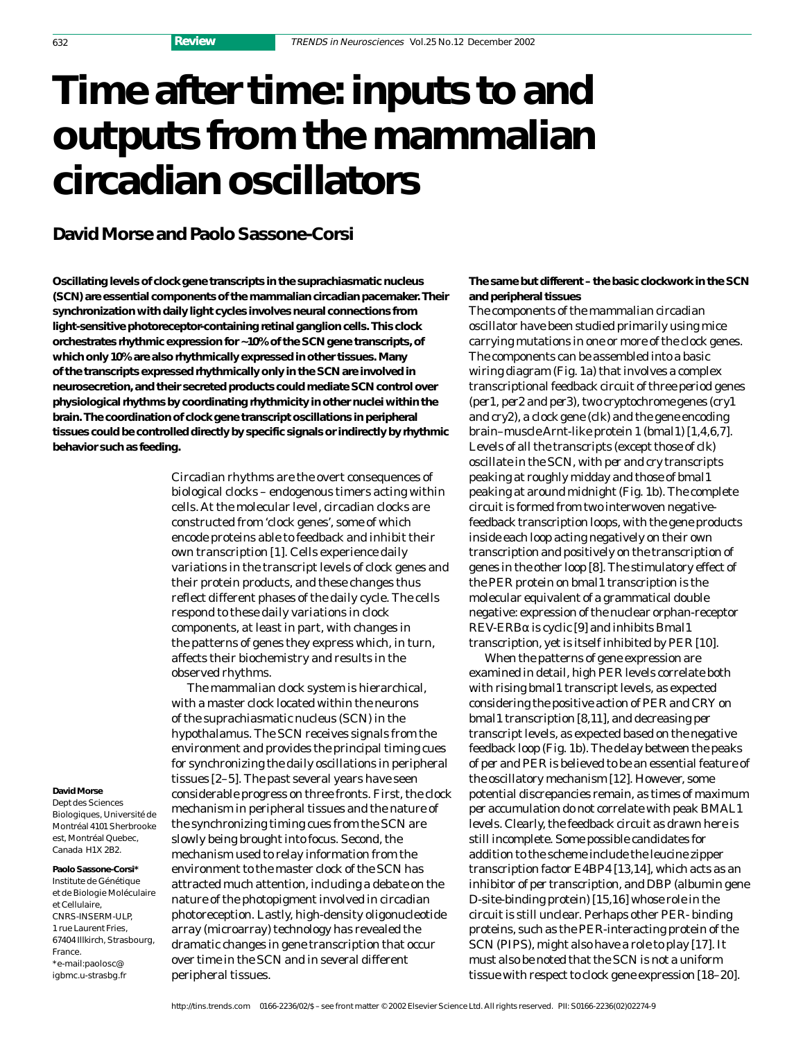# **Time after time: inputs to and outputs from the mammalian circadian oscillators**

## **David Morse and Paolo Sassone-Corsi**

**Oscillating levels of clock gene transcripts in the suprachiasmatic nucleus (SCN) are essential components of the mammalian circadian pacemaker. Their synchronization with daily light cycles involves neural connections from light-sensitive photoreceptor-containing retinal ganglion cells. This clock orchestrates rhythmic expression for ~10% of the SCN gene transcripts, of which only 10% are also rhythmically expressed in other tissues. Many of the transcripts expressed rhythmically only in the SCN are involved in neurosecretion, and their secreted products could mediate SCN control over physiological rhythms by coordinating rhythmicity in other nuclei within the brain. The coordination of clock gene transcript oscillations in peripheral tissues could be controlled directly by specific signals or indirectly by rhythmic behavior such as feeding.**

> Circadian rhythms are the overt consequences of biological clocks – endogenous timers acting within cells. At the molecular level, circadian clocks are constructed from 'clock genes', some of which encode proteins able to feedback and inhibit their own transcription [1]. Cells experience daily variations in the transcript levels of clock genes and their protein products, and these changes thus reflect different phases of the daily cycle. The cells respond to these daily variations in clock components, at least in part, with changes in the patterns of genes they express which, in turn, affects their biochemistry and results in the observed rhythms.

The mammalian clock system is hierarchical, with a master clock located within the neurons of the suprachiasmatic nucleus (SCN) in the hypothalamus. The SCN receives signals from the environment and provides the principal timing cues for synchronizing the daily oscillations in peripheral tissues [2–5]. The past several years have seen considerable progress on three fronts. First, the clock mechanism in peripheral tissues and the nature of the synchronizing timing cues from the SCN are slowly being brought into focus. Second, the mechanism used to relay information from the environment to the master clock of the SCN has attracted much attention, including a debate on the nature of the photopigment involved in circadian photoreception. Lastly, high-density oligonucleotide array (microarray) technology has revealed the dramatic changes in gene transcription that occur over time in the SCN and in several different peripheral tissues.

**The same but different – the basic clockwork in the SCN and peripheral tissues**

The components of the mammalian circadian oscillator have been studied primarily using mice carrying mutations in one or more of the clock genes. The components can be assembled into a basic wiring diagram (Fig. 1a) that involves a complex transcriptional feedback circuit of three *period* genes (*per1, per2* and *per3*), two *cryptochrome* genes (*cry1* and *cry2*), a *clock* gene (*clk*) and the gene encoding brain–muscle Arnt-like protein 1 (*bmal1*) [1,4,6,7]. Levels of all the transcripts (except those of *clk*) oscillate in the SCN, with *per* and *cry* transcripts peaking at roughly midday and those of *bmal1* peaking at around midnight (Fig. 1b). The complete circuit is formed from two interwoven negativefeedback transcription loops, with the gene products inside each loop acting negatively on their own transcription and positively on the transcription of genes in the other loop [8]. The stimulatory effect of the PER protein on *bmal1* transcription is the molecular equivalent of a grammatical double negative: expression of the nuclear orphan-receptor REV-ERBα is cyclic [9] and inhibits *Bmal1* transcription, yet is itself inhibited by PER [10].

When the patterns of gene expression are examined in detail, high PER levels correlate both with rising *bmal1* transcript levels, as expected considering the positive action of PER and CRY on *bmal1* transcription [8,11], and decreasing *per* transcript levels, as expected based on the negative feedback loop (Fig. 1b). The delay between the peaks of *per* and PER is believed to be an essential feature of the oscillatory mechanism [12]. However, some potential discrepancies remain, as times of maximum *per* accumulation do not correlate with peak BMAL1 levels. Clearly, the feedback circuit as drawn here is still incomplete. Some possible candidates for addition to the scheme include the leucine zipper transcription factor E4BP4 [13,14], which acts as an inhibitor of *per* transcription, and DBP (albumin gene D-site-binding protein) [15,16] whose role in the circuit is still unclear. Perhaps other PER- binding proteins, such as the PER-interacting protein of the SCN (PIPS), might also have a role to play [17]. It must also be noted that the SCN is not a uniform tissue with respect to clock gene expression [18–20].

#### **David Morse**

Dept des Sciences Biologiques, Université de Montréal 4101 Sherbrooke est, Montréal Quebec, Canada H1X 2B2.

#### **Paolo Sassone-Corsi\***

Institute de Génétique et de Biologie Moléculaire et Cellulaire, CNRS-INSERM-ULP, 1 rue Laurent Fries, 67404 Illkirch, Strasbourg, France. \*e-mail:paolosc@ igbmc.u-strasbg.fr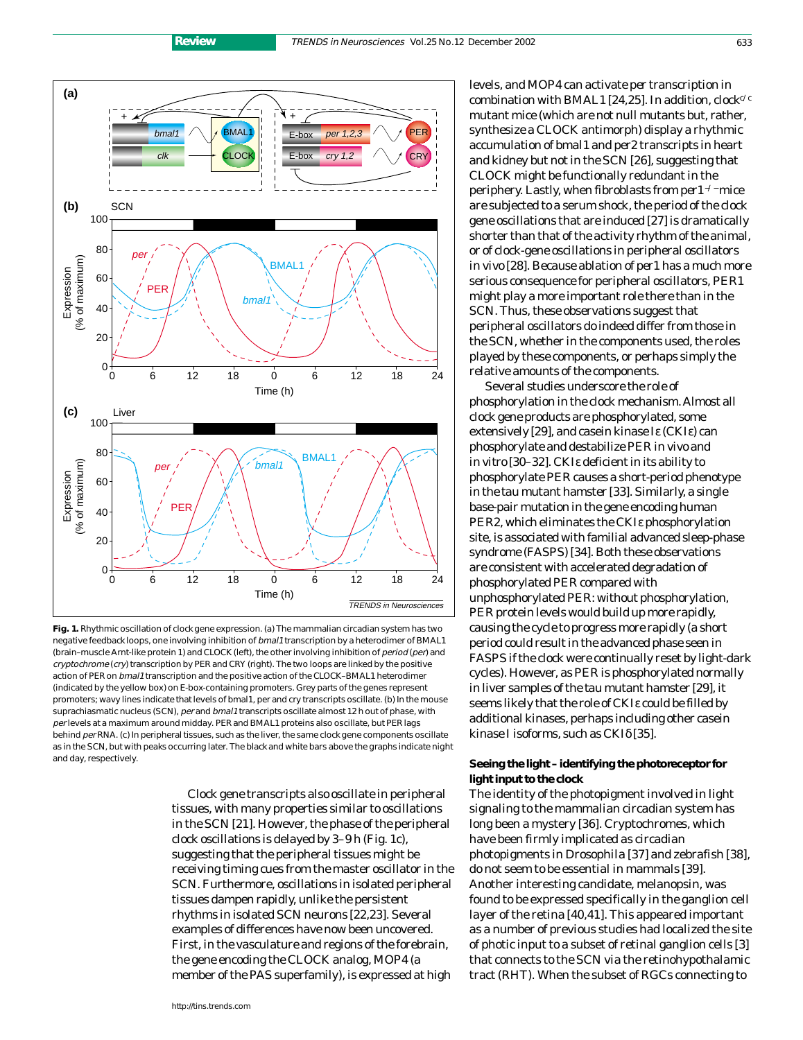

**Fig. 1.** Rhythmic oscillation of clock gene expression. (a) The mammalian circadian system has two negative feedback loops, one involving inhibition of bmal1 transcription by a heterodimer of BMAL1 (brain–muscle Arnt-like protein 1) and CLOCK (left), the other involving inhibition of *period (per*) and cryptochrome (cry) transcription by PER and CRY (right). The two loops are linked by the positive action of PER on bmal1 transcription and the positive action of the CLOCK-BMAL1 heterodimer (indicated by the yellow box) on E-box-containing promoters. Grey parts of the genes represent promoters; wavy lines indicate that levels of bmal1, per and cry transcripts oscillate. (b) In the mouse suprachiasmatic nucleus (SCN), per and bmal1 transcripts oscillate almost 12 h out of phase, with per levels at a maximum around midday. PER and BMAL1 proteins also oscillate, but PER lags behind per RNA. (c) In peripheral tissues, such as the liver, the same clock gene components oscillate as in the SCN, but with peaks occurring later. The black and white bars above the graphs indicate night and day, respectively.

Clock gene transcripts also oscillate in peripheral tissues, with many properties similar to oscillations in the SCN [21]. However, the phase of the peripheral clock oscillations is delayed by 3–9 h (Fig. 1c), suggesting that the peripheral tissues might be receiving timing cues from the master oscillator in the SCN. Furthermore, oscillations in isolated peripheral tissues dampen rapidly, unlike the persistent rhythms in isolated SCN neurons [22,23]. Several examples of differences have now been uncovered. First, in the vasculature and regions of the forebrain, the gene encoding the CLOCK analog, MOP4 (a member of the PAS superfamily), is expressed at high

levels, and MOP4 can activate *per* transcription in combination with BMAL1 [24,25]. In addition, *clockc/c* mutant mice (which are not null mutants but, rather, synthesize a CLOCK antimorph) display a rhythmic accumulation of *bmal1* and *per2* transcripts in heart and kidney but not in the SCN [26], suggesting that CLOCK might be functionally redundant in the periphery. Lastly, when fibroblasts from *per1*−*/*<sup>−</sup> mice are subjected to a serum shock, the period of the clock gene oscillations that are induced [27] is dramatically shorter than that of the activity rhythm of the animal, or of clock-gene oscillations in peripheral oscillators *in vivo* [28]. Because ablation of *per1* has a much more serious consequence for peripheral oscillators, PER1 might play a more important role there than in the SCN. Thus, these observations suggest that peripheral oscillators do indeed differ from those in the SCN, whether in the components used, the roles played by these components, or perhaps simply the relative amounts of the components.

Several studies underscore the role of phosphorylation in the clock mechanism. Almost all clock gene products are phosphorylated, some extensively [29], and casein kinase Iε (CKIε) can phosphorylate and destabilize PER *in vivo* and *in vitro* [30–32]. CKIε deficient in its ability to phosphorylate PER causes a short-period phenotype in the *tau* mutant hamster [33]. Similarly, a single base-pair mutation in the gene encoding human PER2, which eliminates the CKIε phosphorylation site, is associated with familial advanced sleep-phase syndrome (FASPS) [34]. Both these observations are consistent with accelerated degradation of phosphorylated PER compared with unphosphorylated PER: without phosphorylation, PER protein levels would build up more rapidly, causing the cycle to progress more rapidly (a short period could result in the advanced phase seen in FASPS if the clock were continually reset by light-dark cycles). However, as PER is phosphorylated normally in liver samples of the *tau* mutant hamster [29], it seems likely that the role of CKIε could be filled by additional kinases, perhaps including other casein kinase I isoforms, such as CKIδ [35].

#### **Seeing the light – identifying the photoreceptor for light input to the clock**

The identity of the photopigment involved in light signaling to the mammalian circadian system has long been a mystery [36]. Cryptochromes, which have been firmly implicated as circadian photopigments in *Drosophila* [37] and zebrafish [38], do not seem to be essential in mammals [39]. Another interesting candidate, melanopsin, was found to be expressed specifically in the ganglion cell layer of the retina [40,41]. This appeared important as a number of previous studies had localized the site of photic input to a subset of retinal ganglion cells [3] that connects to the SCN via the retinohypothalamic tract (RHT). When the subset of RGCs connecting to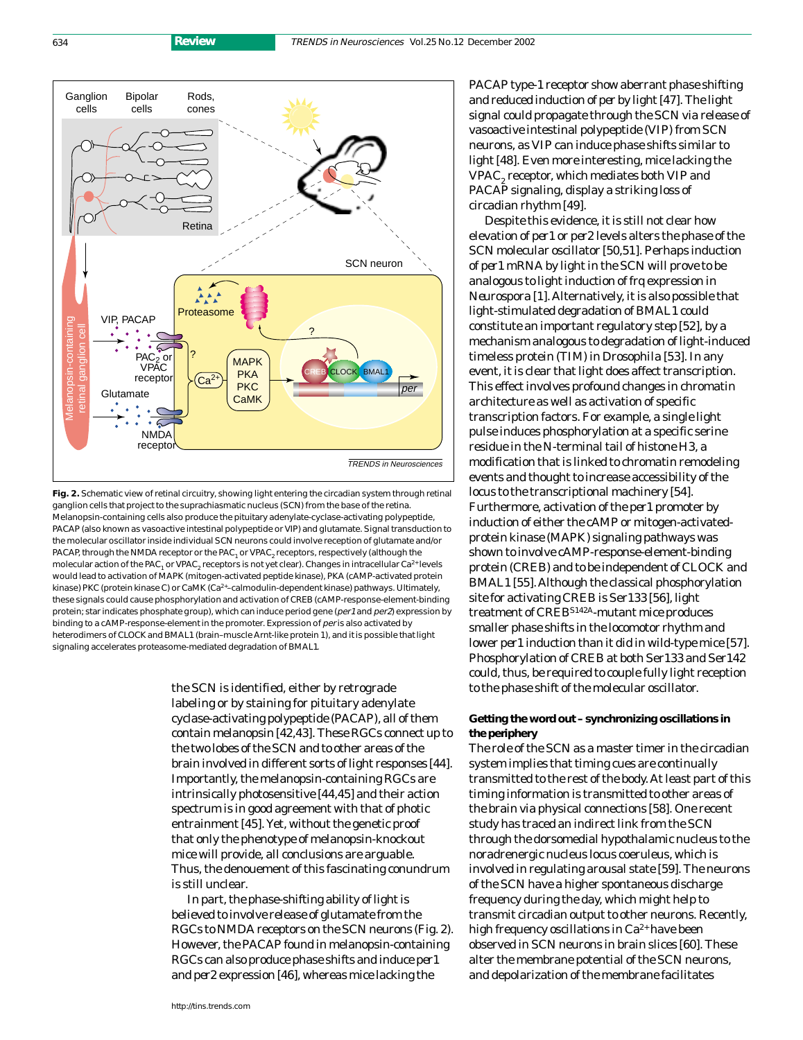

**Fig. 2.** Schematic view of retinal circuitry, showing light entering the circadian system through retinal ganglion cells that project to the suprachiasmatic nucleus (SCN) from the base of the retina. Melanopsin-containing cells also produce the pituitary adenylate-cyclase-activating polypeptide, PACAP (also known as vasoactive intestinal polypeptide or VIP) and glutamate. Signal transduction to the molecular oscillator inside individual SCN neurons could involve reception of glutamate and/or PACAP, through the NMDA receptor or the PAC, or VPAC, receptors, respectively (although the molecular action of the PAC<sub>1</sub> or VPAC<sub>2</sub> receptors is not yet clear). Changes in intracellular Ca<sup>2+</sup> levels would lead to activation of MAPK (mitogen-activated peptide kinase), PKA (cAMP-activated protein kinase) PKC (protein kinase C) or CaMK (Ca<sup>2+</sup>-calmodulin-dependent kinase) pathways. Ultimately, these signals could cause phosphorylation and activation of CREB (cAMP-response-element-binding protein; star indicates phosphate group), which can induce period gene (per1 and per2) expression by binding to a cAMP-response-element in the promoter. Expression of per is also activated by heterodimers of CLOCK and BMAL1 (brain–muscle Arnt-like protein 1), and it is possible that light signaling accelerates proteasome-mediated degradation of BMAL1.

the SCN is identified, either by retrograde labeling or by staining for pituitary adenylate cyclase-activating polypeptide (PACAP), all of them contain melanopsin [42,43]. These RGCs connect up to the two lobes of the SCN and to other areas of the brain involved in different sorts of light responses [44]. Importantly, the melanopsin-containing RGCs are intrinsically photosensitive [44,45] and their action spectrum is in good agreement with that of photic entrainment [45]. Yet, without the genetic proof that only the phenotype of melanopsin-knockout mice will provide, all conclusions are arguable. Thus, the denouement of this fascinating conundrum is still unclear.

In part, the phase-shifting ability of light is believed to involve release of glutamate from the RGCs to NMDA receptors on the SCN neurons (Fig. 2). However, the PACAP found in melanopsin-containing RGCs can also produce phase shifts and induce *per1* and *per2* expression [46], whereas mice lacking the

PACAP type-1 receptor show aberrant phase shifting and reduced induction of *per* by light [47]. The light signal could propagate through the SCN via release of vasoactive intestinal polypeptide (VIP) from SCN neurons, as VIP can induce phase shifts similar to light [48]. Even more interesting, mice lacking the VPAC<sub>2</sub> receptor, which mediates both VIP and PACAP signaling, display a striking loss of circadian rhythm [49].

Despite this evidence, it is still not clear how elevation of *per1* or *per2* levels alters the phase of the SCN molecular oscillator [50,51]. Perhaps induction of *per1* mRNA by light in the SCN will prove to be analogous to light induction of *frq* expression in *Neurospora* [1]. Alternatively, it is also possible that light-stimulated degradation of BMAL1 could constitute an important regulatory step [52], by a mechanism analogous to degradation of light-induced timeless protein (TIM) in *Drosophila* [53]. In any event, it is clear that light does affect transcription. This effect involves profound changes in chromatin architecture as well as activation of specific transcription factors. For example, a single light pulse induces phosphorylation at a specific serine residue in the N-terminal tail of histone H3, a modification that is linked to chromatin remodeling events and thought to increase accessibility of the locus to the transcriptional machinery [54]. Furthermore, activation of the *per1* promoter by induction of either the cAMP or mitogen-activatedprotein kinase (MAPK) signaling pathways was shown to involve cAMP-response-element-binding protein (CREB) and to be independent of CLOCK and BMAL1 [55]. Although the classical phosphorylation site for activating CREB is Ser133 [56], light treatment of CREBS142A-mutant mice produces smaller phase shifts in the locomotor rhythm and lower *per1* induction than it did in wild-type mice [57]. Phosphorylation of CREB at both Ser133 and Ser142 could, thus, be required to couple fully light reception to the phase shift of the molecular oscillator.

### **Getting the word out – synchronizing oscillations in the periphery**

The role of the SCN as a master timer in the circadian system implies that timing cues are continually transmitted to the rest of the body. At least part of this timing information is transmitted to other areas of the brain via physical connections [58]. One recent study has traced an indirect link from the SCN through the dorsomedial hypothalamic nucleus to the noradrenergic nucleus locus coeruleus, which is involved in regulating arousal state [59]. The neurons of the SCN have a higher spontaneous discharge frequency during the day, which might help to transmit circadian output to other neurons. Recently, high frequency oscillations in  $Ca^{2+}$  have been observed in SCN neurons in brain slices [60]. These alter the membrane potential of the SCN neurons, and depolarization of the membrane facilitates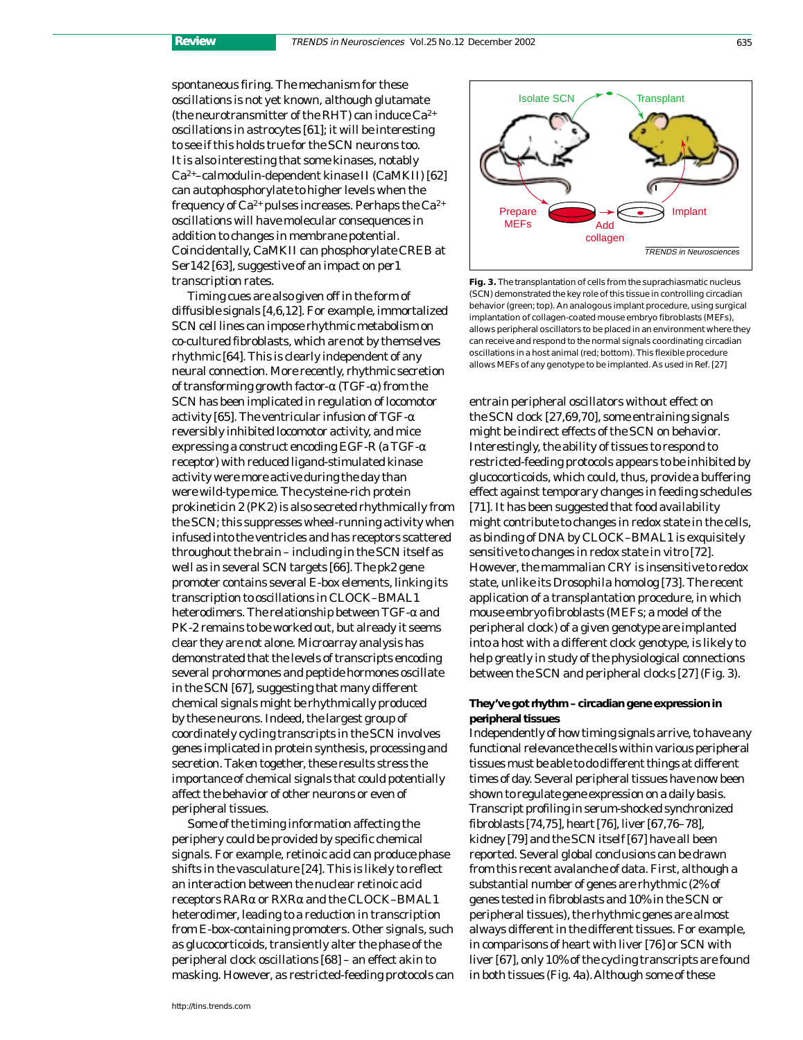spontaneous firing. The mechanism for these oscillations is not yet known, although glutamate (the neurotransmitter of the RHT) can induce  $Ca^{2+}$ oscillations in astrocytes [61]; it will be interesting to see if this holds true for the SCN neurons too. It is also interesting that some kinases, notably Ca2+–calmodulin-dependent kinase II (CaMKII) [62] can autophosphorylate to higher levels when the frequency of  $Ca^{2+}$  pulses increases. Perhaps the  $Ca^{2+}$ oscillations will have molecular consequences in addition to changes in membrane potential. Coincidentally, CaMKII can phosphorylate CREB at Ser142 [63], suggestive of an impact on *per1* transcription rates.

Timing cues are also given off in the form of diffusible signals [4,6,12]. For example, immortalized SCN cell lines can impose rhythmic metabolism on co-cultured fibroblasts, which are not by themselves rhythmic [64]. This is clearly independent of any neural connection. More recently, rhythmic secretion of transforming growth factor-α (TGF-α) from the SCN has been implicated in regulation of locomotor activity [65]. The ventricular infusion of TGF- $\alpha$ reversibly inhibited locomotor activity, and mice expressing a construct encoding EGF-R (a TGF-α receptor) with reduced ligand-stimulated kinase activity were more active during the day than were wild-type mice. The cysteine-rich protein prokineticin 2 (PK2) is also secreted rhythmically from the SCN; this suppresses wheel-running activity when infused into the ventricles and has receptors scattered throughout the brain – including in the SCN itself as well as in several SCN targets [66]. The *pk2* gene promoter contains several E-box elements, linking its transcription to oscillations in CLOCK–BMAL1 heterodimers. The relationship between TGF-α and PK-2 remains to be worked out, but already it seems clear they are not alone. Microarray analysis has demonstrated that the levels of transcripts encoding several prohormones and peptide hormones oscillate in the SCN [67], suggesting that many different chemical signals might be rhythmically produced by these neurons. Indeed, the largest group of coordinately cycling transcripts in the SCN involves genes implicated in protein synthesis, processing and secretion. Taken together, these results stress the importance of chemical signals that could potentially affect the behavior of other neurons or even of peripheral tissues.

Some of the timing information affecting the periphery could be provided by specific chemical signals. For example, retinoic acid can produce phase shifts in the vasculature [24]. This is likely to reflect an interaction between the nuclear retinoic acid receptors RARα or RXRα and the CLOCK–BMAL1 heterodimer, leading to a reduction in transcription from E-box-containing promoters. Other signals, such as glucocorticoids, transiently alter the phase of the peripheral clock oscillations [68] – an effect akin to masking. However, as restricted-feeding protocols can



**Fig. 3.** The transplantation of cells from the suprachiasmatic nucleus (SCN) demonstrated the key role of this tissue in controlling circadian behavior (green; top). An analogous implant procedure, using surgical implantation of collagen-coated mouse embryo fibroblasts (MEFs), allows peripheral oscillators to be placed in an environment where they can receive and respond to the normal signals coordinating circadian oscillations in a host animal (red; bottom). This flexible procedure allows MEFs of any genotype to be implanted. As used in Ref. [27]

entrain peripheral oscillators without effect on the SCN clock [27,69,70], some entraining signals might be indirect effects of the SCN on behavior. Interestingly, the ability of tissues to respond to restricted-feeding protocols appears to be inhibited by glucocorticoids, which could, thus, provide a buffering effect against temporary changes in feeding schedules [71]. It has been suggested that food availability might contribute to changes in redox state in the cells, as binding of DNA by CLOCK–BMAL1 is exquisitely sensitive to changes in redox state *in vitro* [72]. However, the mammalian CRY is insensitive to redox state, unlike its *Drosophila* homolog [73]. The recent application of a transplantation procedure, in which mouse embryo fibroblasts (MEFs; a model of the peripheral clock) of a given genotype are implanted into a host with a different clock genotype, is likely to help greatly in study of the physiological connections between the SCN and peripheral clocks [27] (Fig. 3).

#### **They've got rhythm – circadian gene expression in peripheral tissues**

Independently of how timing signals arrive, to have any functional relevance the cells within various peripheral tissues must be able to do different things at different times of day. Several peripheral tissues have now been shown to regulate gene expression on a daily basis. Transcript profiling in serum-shocked synchronized fibroblasts [74,75], heart [76], liver [67,76–78], kidney [79] and the SCN itself [67] have all been reported. Several global conclusions can be drawn from this recent avalanche of data. First, although a substantial number of genes are rhythmic (2% of genes tested in fibroblasts and 10% in the SCN or peripheral tissues), the rhythmic genes are almost always different in the different tissues. For example, in comparisons of heart with liver [76] or SCN with liver [67], only 10% of the cycling transcripts are found in both tissues (Fig. 4a). Although some of these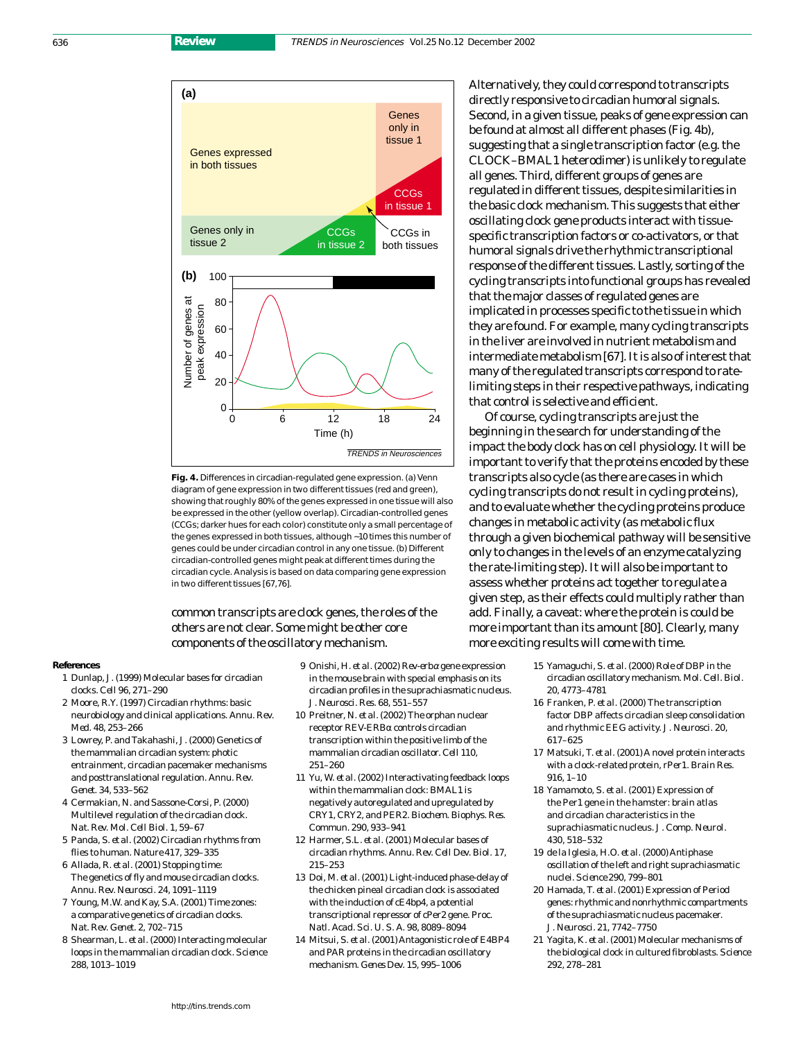636 **Review**



**Fig. 4.** Differences in circadian-regulated gene expression. (a) Venn diagram of gene expression in two different tissues (red and green), showing that roughly 80% of the genes expressed in one tissue will also be expressed in the other (yellow overlap). Circadian-controlled genes (CCGs; darker hues for each color) constitute only a small percentage of the genes expressed in both tissues, although ~10 times this number of genes could be under circadian control in any one tissue. (b) Different circadian-controlled genes might peak at different times during the circadian cycle. Analysis is based on data comparing gene expression in two different tissues [67,76].

common transcripts are clock genes, the roles of the others are not clear. Some might be other core components of the oscillatory mechanism.

#### **References**

- 1 Dunlap, J. (1999) Molecular bases for circadian clocks. *Cell* 96, 271–290
- 2 Moore, R.Y. (1997) Circadian rhythms: basic neurobiology and clinical applications. *Annu. Rev. Med.* 48, 253–266
- 3 Lowrey, P. and Takahashi, J. (2000) Genetics of the mammalian circadian system: photic entrainment, circadian pacemaker mechanisms and posttranslational regulation. *Annu. Rev. Genet.* 34, 533–562
- 4 Cermakian, N. and Sassone-Corsi, P. (2000) Multilevel regulation of the circadian clock. *Nat. Rev. Mol. Cell Biol.* 1, 59–67
- 5 Panda, S. *et al.* (2002) Circadian rhythms from flies to human. *Nature* 417, 329–335
- 6 Allada, R. *et al.* (2001) Stopping time: The genetics of fly and mouse circadian clocks. *Annu. Rev. Neurosci.* 24, 1091–1119
- 7 Young, M.W. and Kay, S.A. (2001) Time zones: a comparative genetics of circadian clocks. *Nat. Rev. Genet.* 2, 702–715
- 8 Shearman, L. *et al.* (2000) Interacting molecular loops in the mammalian circadian clock. *Science* 288, 1013–1019
- 9 Onishi, H. *et al.* (2002) *Rev-erb*<sup>α</sup> gene expression in the mouse brain with special emphasis on its circadian profiles in the suprachiasmatic nucleus. *J. Neurosci. Res.* 68, 551–557
- 10 Preitner, N. *et al.* (2002) The orphan nuclear receptor REV-ERBα controls circadian transcription within the positive limb of the mammalian circadian oscillator. *Cell* 110, 251–260
- 11 Yu, W. *et al.* (2002) Interactivating feedback loops within the mammalian clock: BMAL1 is negatively autoregulated and upregulated by CRY1, CRY2, and PER2. *Biochem. Biophys. Res. Commun.* 290, 933–941
- 12 Harmer, S.L. *et al.* (2001) Molecular bases of circadian rhythms. *Annu. Rev. Cell Dev. Biol.* 17, 215–253
- 13 Doi, M. *et al.* (2001) Light-induced phase-delay of the chicken pineal circadian clock is associated with the induction of cE4bp4, a potential transcriptional repressor of cPer2 gene. *Proc. Natl. Acad. Sci. U. S. A.* 98, 8089–8094
- 14 Mitsui, S. *et al.* (2001) Antagonistic role of E4BP4 and PAR proteins in the circadian oscillatory mechanism. *Genes Dev.* 15, 995–1006

Alternatively, they could correspond to transcripts directly responsive to circadian humoral signals. Second, in a given tissue, peaks of gene expression can be found at almost all different phases (Fig. 4b), suggesting that a single transcription factor (e.g. the CLOCK–BMAL1 heterodimer) is unlikely to regulate all genes. Third, different groups of genes are regulated in different tissues, despite similarities in the basic clock mechanism. This suggests that either oscillating clock gene products interact with tissuespecific transcription factors or co-activators, or that humoral signals drive the rhythmic transcriptional response of the different tissues. Lastly, sorting of the cycling transcripts into functional groups has revealed that the major classes of regulated genes are implicated in processes specific to the tissue in which they are found. For example, many cycling transcripts in the liver are involved in nutrient metabolism and intermediate metabolism [67]. It is also of interest that many of the regulated transcripts correspond to ratelimiting steps in their respective pathways, indicating that control is selective and efficient.

Of course, cycling transcripts are just the beginning in the search for understanding of the impact the body clock has on cell physiology. It will be important to verify that the proteins encoded by these transcripts also cycle (as there are cases in which cycling transcripts do not result in cycling proteins), and to evaluate whether the cycling proteins produce changes in metabolic activity (as metabolic flux through a given biochemical pathway will be sensitive only to changes in the levels of an enzyme catalyzing the rate-limiting step). It will also be important to assess whether proteins act together to regulate a given step, as their effects could multiply rather than add. Finally, a caveat: where the protein is could be more important than its amount [80]. Clearly, many more exciting results will come with time.

- 15 Yamaguchi, S. *et al.* (2000) Role of DBP in the circadian oscillatory mechanism. *Mol. Cell. Biol.* 20, 4773–4781
- 16 Franken, P. *et al.* (2000) The transcription factor DBP affects circadian sleep consolidation and rhythmic EEG activity. *J. Neurosci.* 20, 617–625
- 17 Matsuki, T. *et al.* (2001) A novel protein interacts with a clock-related protein, rPer1. *Brain Res.* 916, 1–10
- 18 Yamamoto, S. *et al.* (2001) Expression of the Per1 gene in the hamster: brain atlas and circadian characteristics in the suprachiasmatic nucleus. *J. Comp. Neurol.* 430, 518–532
- 19 de la Iglesia, H.O. *et al.* (2000) Antiphase oscillation of the left and right suprachiasmatic nuclei. *Science* 290, 799–801
- 20 Hamada, T. *et al.* (2001) Expression of Period genes: rhythmic and nonrhythmic compartments of the suprachiasmatic nucleus pacemaker. *J. Neurosci.* 21, 7742–7750
- 21 Yagita, K. *et al.* (2001) Molecular mechanisms of the biological clock in cultured fibroblasts. *Science* 292, 278–281